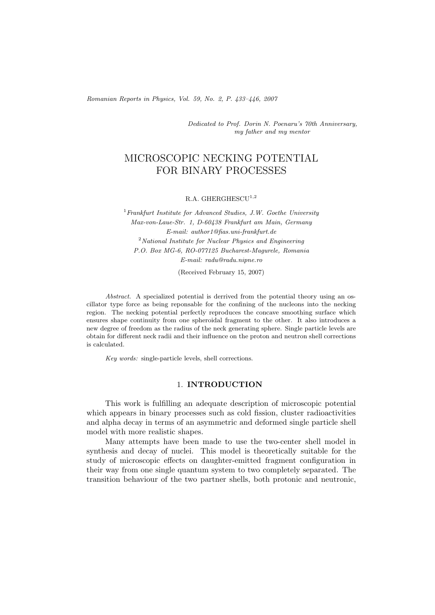*Romanian Reports in Physics, Vol. 59, No. 2, P. 433–446, 2007*

*Dedicated to Prof. Dorin N. Poenaru's 70th Anniversary, my father and my mentor*

# MICROSCOPIC NECKING POTENTIAL FOR BINARY PROCESSES

R.A. GHERGHESCU<sup>1,2</sup>

<sup>1</sup>*Frankfurt Institute for Advanced Studies, J.W. Goethe University Max-von-Laue-Str. 1, D-60438 Frankfurt am Main, Germany E-mail: author1@fias.uni-frankfurt.de* <sup>2</sup>*National Institute for Nuclear Physics and Engineering P.O. Box MG-6, RO-077125 Bucharest-Magurele, Romania E-mail: radu@radu.nipne.ro*

(Received February 15, 2007)

*Abstract.* A specialized potential is derrived from the potential theory using an oscillator type force as being reponsable for the confining of the nucleons into the necking region. The necking potential perfectly reproduces the concave smoothing surface which ensures shape continuity from one spheroidal fragment to the other. It also introduces a new degree of freedom as the radius of the neck generating sphere. Single particle levels are obtain for different neck radii and their influence on the proton and neutron shell corrections is calculated.

*Key words:* single-particle levels, shell corrections.

## 1. **INTRODUCTION**

This work is fulfilling an adequate description of microscopic potential which appears in binary processes such as cold fission, cluster radioactivities and alpha decay in terms of an asymmetric and deformed single particle shell model with more realistic shapes.

Many attempts have been made to use the two-center shell model in synthesis and decay of nuclei. This model is theoretically suitable for the study of microscopic effects on daughter-emitted fragment configuration in their way from one single quantum system to two completely separated. The transition behaviour of the two partner shells, both protonic and neutronic,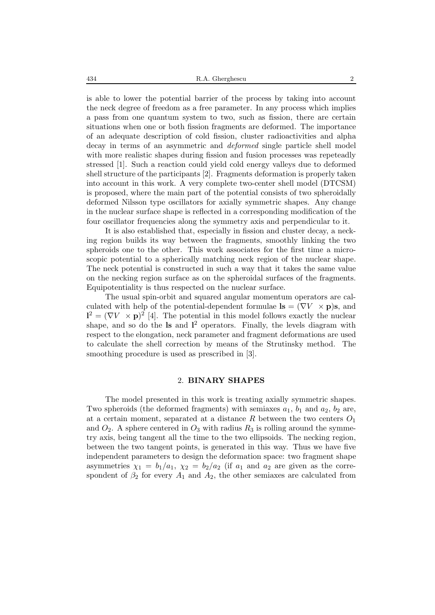is able to lower the potential barrier of the process by taking into account the neck degree of freedom as a free parameter. In any process which implies a pass from one quantum system to two, such as fission, there are certain situations when one or both fission fragments are deformed. The importance of an adequate description of cold fission, cluster radioactivities and alpha decay in terms of an asymmetric and *deformed* single particle shell model with more realistic shapes during fission and fusion processes was repeteadly stressed [1]. Such a reaction could yield cold energy valleys due to deformed shell structure of the participants [2]. Fragments deformation is properly taken into account in this work. A very complete two-center shell model (DTCSM) is proposed, where the main part of the potential consists of two spheroidally deformed Nilsson type oscillators for axially symmetric shapes. Any change in the nuclear surface shape is reflected in a corresponding modification of the four oscillator frequencies along the symmetry axis and perpendicular to it.

It is also established that, especially in fission and cluster decay, a necking region builds its way between the fragments, smoothly linking the two spheroids one to the other. This work associates for the first time a microscopic potential to a spherically matching neck region of the nuclear shape. The neck potential is constructed in such a way that it takes the same value on the necking region surface as on the spheroidal surfaces of the fragments. Equipotentiality is thus respected on the nuclear surface.

The usual spin-orbit and squared angular momentum operators are calculated with help of the potential-dependent formulae  $\mathbf{ls} = (\nabla V \times \mathbf{p})\mathbf{s}$ , and  $\mathbf{l}^2 = (\nabla V \times \mathbf{p})^2$  [4]. The potential in this model follows exactly the nuclear shape, and so do the **ls** and **l** <sup>2</sup> operators. Finally, the levels diagram with respect to the elongation, neck parameter and fragment deformations are used to calculate the shell correction by means of the Strutinsky method. The smoothing procedure is used as prescribed in [3].

### 2. **BINARY SHAPES**

The model presented in this work is treating axially symmetric shapes. Two spheroids (the deformed fragments) with semiaxes  $a_1$ ,  $b_1$  and  $a_2$ ,  $b_2$  are, at a certain moment, separated at a distance  $R$  between the two centers  $O<sub>1</sub>$ and  $O_2$ . A sphere centered in  $O_3$  with radius  $R_3$  is rolling around the symmetry axis, being tangent all the time to the two ellipsoids. The necking region, between the two tangent points, is generated in this way. Thus we have five independent parameters to design the deformation space: two fragment shape asymmetries  $\chi_1 = b_1/a_1$ ,  $\chi_2 = b_2/a_2$  (if  $a_1$  and  $a_2$  are given as the correspondent of  $\beta_2$  for every  $A_1$  and  $A_2$ , the other semiaxes are calculated from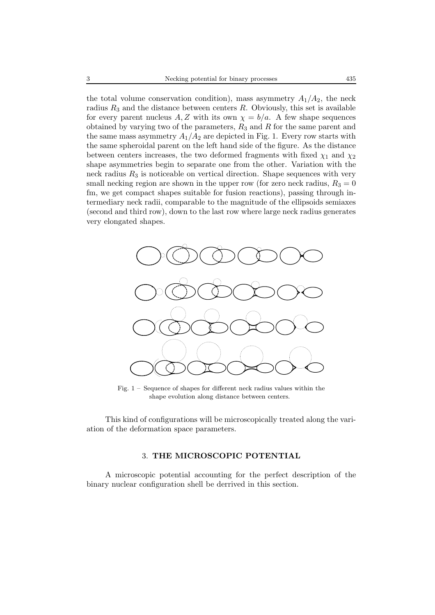the total volume conservation condition), mass asymmetry  $A_1/A_2$ , the neck radius  $R_3$  and the distance between centers R. Obviously, this set is available for every parent nucleus A, Z with its own  $\chi = b/a$ . A few shape sequences obtained by varying two of the parameters,  $R_3$  and  $R$  for the same parent and the same mass asymmetry  $A_1/A_2$  are depicted in Fig. 1. Every row starts with the same spheroidal parent on the left hand side of the figure. As the distance between centers increases, the two deformed fragments with fixed  $\chi_1$  and  $\chi_2$ shape asymmetries begin to separate one from the other. Variation with the neck radius  $R_3$  is noticeable on vertical direction. Shape sequences with very small necking region are shown in the upper row (for zero neck radius,  $R_3 = 0$ ) fm, we get compact shapes suitable for fusion reactions), passing through intermediary neck radii, comparable to the magnitude of the ellipsoids semiaxes (second and third row), down to the last row where large neck radius generates very elongated shapes.



Fig. 1 – Sequence of shapes for different neck radius values within the shape evolution along distance between centers.

This kind of configurations will be microscopically treated along the variation of the deformation space parameters.

### 3. **THE MICROSCOPIC POTENTIAL**

A microscopic potential accounting for the perfect description of the binary nuclear configuration shell be derrived in this section.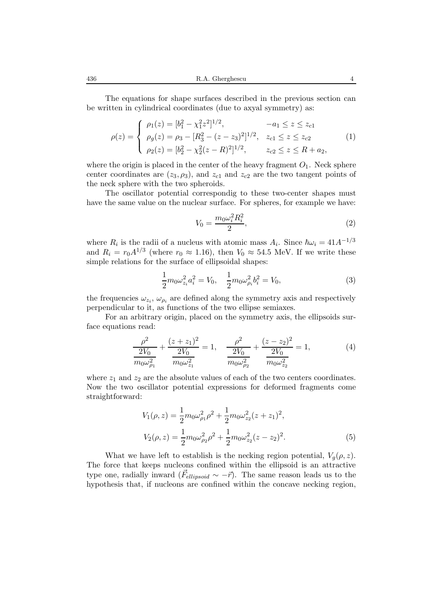436 R.A. Gherghescu 4

The equations for shape surfaces described in the previous section can be written in cylindrical coordinates (due to axyal symmetry) as:

$$
\rho(z) = \begin{cases}\n\rho_1(z) = [b_1^2 - \chi_1^2 z^2]^{1/2}, & -a_1 \le z \le z_{c1} \\
\rho_g(z) = \rho_3 - [R_3^2 - (z - z_3)^2]^{1/2}, & z_{c1} \le z \le z_{c2} \\
\rho_2(z) = [b_2^2 - \chi_2^2 (z - R)^2]^{1/2}, & z_{c2} \le z \le R + a_2,\n\end{cases}
$$
\n(1)

where the origin is placed in the center of the heavy fragment  $O<sub>1</sub>$ . Neck sphere center coordinates are  $(z_3, \rho_3)$ , and  $z_{c1}$  and  $z_{c2}$  are the two tangent points of the neck sphere with the two spheroids.

The oscillator potential correspondig to these two-center shapes must have the same value on the nuclear surface. For spheres, for example we have:

$$
V_0 = \frac{m_0 \omega_i^2 R_i^2}{2},\tag{2}
$$

where  $R_i$  is the radii of a nucleus with atomic mass  $A_i$ . Since  $\hbar\omega_i = 41A^{-1/3}$ and  $R_i = r_0 A^{1/3}$  (where  $r_0 \approx 1.16$ ), then  $V_0 \approx 54.5$  MeV. If we write these simple relations for the surface of ellipsoidal shapes:

$$
\frac{1}{2}m_0\omega_{z_i}^2a_i^2 = V_0, \quad \frac{1}{2}m_0\omega_{\rho_i}^2b_i^2 = V_0,\tag{3}
$$

the frequencies  $\omega_{z_i}, \omega_{\rho_i}$  are defined along the symmetry axis and respectively perpendicular to it, as functions of the two ellipse semiaxes.

For an arbitrary origin, placed on the symmetry axis, the ellipsoids surface equations read:

$$
\frac{\rho^2}{2V_0} + \frac{(z+z_1)^2}{2V_0} = 1, \quad \frac{\rho^2}{2V_0} + \frac{(z-z_2)^2}{2V_0} = 1,
$$
\n
$$
\frac{2V_0}{m_0\omega_{\rho_1}^2} + \frac{(z-z_2)^2}{m_0\omega_{\rho_2}^2} = 1,
$$
\n(4)

where  $z_1$  and  $z_2$  are the absolute values of each of the two centers coordinates. Now the two oscillator potential expressions for deformed fragments come straightforward:

$$
V_1(\rho, z) = \frac{1}{2} m_0 \omega_{\rho_1}^2 \rho^2 + \frac{1}{2} m_0 \omega_{z_2}^2 (z + z_1)^2,
$$
  
\n
$$
V_2(\rho, z) = \frac{1}{2} m_0 \omega_{\rho_2}^2 \rho^2 + \frac{1}{2} m_0 \omega_{z_2}^2 (z - z_2)^2.
$$
\n(5)

What we have left to establish is the necking region potential,  $V_q(\rho, z)$ . The force that keeps nucleons confined within the ellipsoid is an attractive type one, radially inward  $(\vec{F}_{ellipsoid} \sim -\vec{r})$ . The same reason leads us to the hypothesis that, if nucleons are confined within the concave necking region,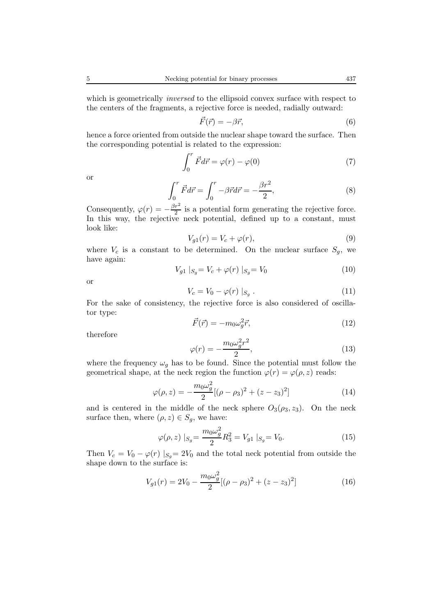which is geometrically *inversed* to the ellipsoid convex surface with respect to the centers of the fragments, a rejective force is needed, radially outward:

$$
\vec{F}(\vec{r}) = -\beta \vec{r},\tag{6}
$$

hence a force oriented from outside the nuclear shape toward the surface. Then the corresponding potential is related to the expression:

$$
\int_0^r \vec{F} d\vec{r} = \varphi(r) - \varphi(0) \tag{7}
$$

or

$$
\int_0^r \vec{F}d\vec{r} = \int_0^r -\beta \vec{r}d\vec{r} = -\frac{\beta r^2}{2},\tag{8}
$$

Consequently,  $\varphi(r) = -\frac{\beta r^2}{2}$  is a potential form generating the rejective force. In this way, the rejective neck potential, defined up to a constant, must look like:

$$
V_{g1}(r) = V_c + \varphi(r),\tag{9}
$$

where  $V_c$  is a constant to be determined. On the nuclear surface  $S_g$ , we have again:

$$
V_{g1} |_{S_g} = V_c + \varphi(r) |_{S_g} = V_0
$$
 (10)

or

$$
V_c = V_0 - \varphi(r) \mid_{S_g}.
$$
\n<sup>(11)</sup>

For the sake of consistency, the rejective force is also considered of oscillator type:

$$
\vec{F}(\vec{r}) = -m_0 \omega_g^2 \vec{r},\tag{12}
$$

therefore

$$
\varphi(r) = -\frac{m_0 \omega_g^2 r^2}{2},\tag{13}
$$

where the frequency  $\omega_q$  has to be found. Since the potential must follow the geometrical shape, at the neck region the function  $\varphi(r) = \varphi(\rho, z)$  reads:

$$
\varphi(\rho, z) = -\frac{m_0 \omega_g^2}{2} [(\rho - \rho_3)^2 + (z - z_3)^2]
$$
\n(14)

and is centered in the middle of the neck sphere  $O_3(\rho_3, z_3)$ . On the neck surface then, where  $(\rho, z) \in S_g$ , we have:

$$
\varphi(\rho, z) \mid_{S_g} = \frac{m_0 \omega_g^2}{2} R_3^2 = V_{g1} \mid_{S_g} = V_0.
$$
\n(15)

Then  $V_c = V_0 - \varphi(r) |_{S_g} = 2V_0$  and the total neck potential from outside the shape down to the surface is:

$$
V_{g1}(r) = 2V_0 - \frac{m_0 \omega_g^2}{2} [(\rho - \rho_3)^2 + (z - z_3)^2]
$$
 (16)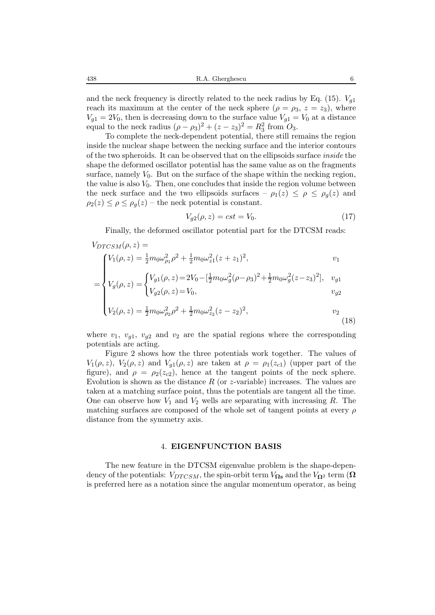and the neck frequency is directly related to the neck radius by Eq. (15).  $V_{q1}$ reach its maximum at the center of the neck sphere ( $\rho = \rho_3$ ,  $z = z_3$ ), where  $V_{g1} = 2V_0$ , then is decreasing down to the surface value  $V_{g1} = V_0$  at a distance equal to the neck radius  $(\rho - \rho_3)^2 + (z - z_3)^2 = R_3^2$  from  $O_3$ .

To complete the neck-dependent potential, there still remains the region inside the nuclear shape between the necking surface and the interior contours of the two spheroids. It can be observed that on the ellipsoids surface *inside* the shape the deformed oscillator potential has the same value as on the fragments surface, namely  $V_0$ . But on the surface of the shape within the necking region, the value is also  $V_0$ . Then, one concludes that inside the region volume between the neck surface and the two ellipsoids surfaces –  $\rho_1(z) \leq \rho \leq \rho_g(z)$  and  $\rho_2(z) \leq \rho \leq \rho_q(z)$  – the neck potential is constant.

$$
V_{g2}(\rho, z) = cst = V_0.
$$
 (17)

Finally, the deformed oscillator potential part for the DTCSM reads:

$$
V_{DTCSM}(\rho, z) =
$$
\n
$$
\begin{aligned}\nV_1(\rho, z) &= \frac{1}{2} m_0 \omega_{\rho_1}^2 \rho^2 + \frac{1}{2} m_0 \omega_{z1}^2 (z + z_1)^2, & v_1 \\
&= \begin{cases}\nV_1(\rho, z) &= 2V_0 - \left[\frac{1}{2} m_0 \omega_g^2 (\rho - \rho_3)^2 + \frac{1}{2} m_0 \omega_g^2 (z - z_3)^2\right], & v_{g1} \\
V_{g2}(\rho, z) &= V_0, & v_{g2}\n\end{cases}\n\end{aligned}
$$

$$
\left\{ V_2(\rho, z) = \frac{1}{2} m_0 \omega_{\rho_2}^2 \rho^2 + \frac{1}{2} m_0 \omega_{z_2}^2 (z - z_2)^2, \right. \tag{18}
$$

where  $v_1$ ,  $v_{q1}$ ,  $v_{q2}$  and  $v_2$  are the spatial regions where the corresponding potentials are acting.

Figure 2 shows how the three potentials work together. The values of  $V_1(\rho, z)$ ,  $V_2(\rho, z)$  and  $V_{g1}(\rho, z)$  are taken at  $\rho = \rho_1(z_{c1})$  (upper part of the figure), and  $\rho = \rho_2(z_{c2})$ , hence at the tangent points of the neck sphere. Evolution is shown as the distance  $R$  (or z-variable) increases. The values are taken at a matching surface point, thus the potentials are tangent all the time. One can observe how  $V_1$  and  $V_2$  wells are separating with increasing R. The matching surfaces are composed of the whole set of tangent points at every  $\rho$ distance from the symmetry axis.

#### 4. **EIGENFUNCTION BASIS**

The new feature in the DTCSM eigenvalue problem is the shape-dependency of the potentials:  $V_{DTCSM}$ , the spin-orbit term  $V_{\Omega s}$  and the  $V_{\Omega^2}$  term ( $\Omega$ is preferred here as a notation since the angular momentum operator, as being

 $\mathbf{l}$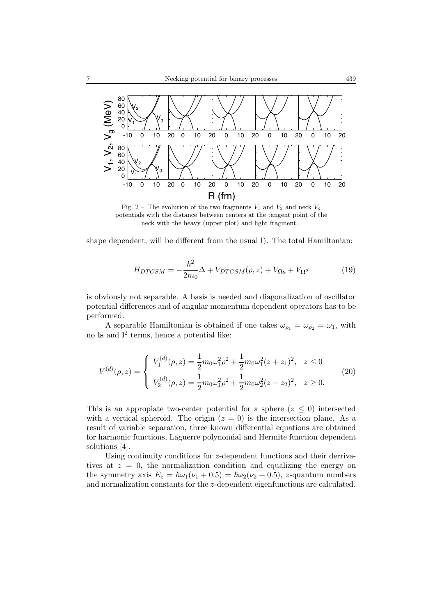

Fig. 2 – The evolution of the two fragments  $V_1$  and  $V_2$  and neck  $V_g$ potentials with the distance between centers at the tangent point of the neck with the heavy (upper plot) and light fragment.

shape dependent, will be different from the usual **l**). The total Hamiltonian:

$$
H_{DTCSM} = -\frac{\hbar^2}{2m_0} \Delta + V_{DTCSM}(\rho, z) + V_{\Omega \mathbf{s}} + V_{\Omega^2}
$$
(19)

is obviously not separable. A basis is needed and diagonalization of oscillator potential differences and of angular momentum dependent operators has to be performed.

A separable Hamiltonian is obtained if one takes  $\omega_{\rho_1} = \omega_{\rho_2} = \omega_1$ , with no **ls** and **l** <sup>2</sup> terms, hence a potential like:

$$
V^{(d)}(\rho, z) = \begin{cases} V_1^{(d)}(\rho, z) = \frac{1}{2} m_0 \omega_1^2 \rho^2 + \frac{1}{2} m_0 \omega_1^2 (z + z_1)^2, & z \le 0 \\ V_2^{(d)}(\rho, z) = \frac{1}{2} m_0 \omega_1^2 \rho^2 + \frac{1}{2} m_0 \omega_2^2 (z - z_2)^2, & z \ge 0. \end{cases}
$$
(20)

This is an appropiate two-center potential for a sphere  $(z \leq 0)$  intersected with a vertical spheroid. The origin  $(z = 0)$  is the intersection plane. As a result of variable separation, three known differential equations are obtained for harmonic functions, Laguerre polynomial and Hermite function dependent solutions [4].

Using continuity conditions for z-dependent functions and their derrivatives at  $z = 0$ , the normalization condition and equalizing the energy on the symmetry axis  $E_z = \hbar \omega_1 (\nu_1 + 0.5) = \hbar \omega_2 (\nu_2 + 0.5)$ , z-quantum numbers and normalization constants for the z-dependent eigenfunctions are calculated.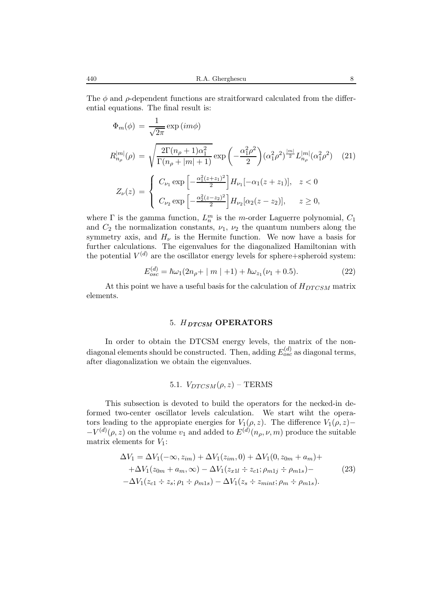The  $\phi$  and  $\rho$ -dependent functions are straitforward calculated from the differential equations. The final result is:

$$
\Phi_m(\phi) = \frac{1}{\sqrt{2\pi}} \exp(im\phi)
$$
\n
$$
R_{n_{\rho}}^{|m|}(\rho) = \sqrt{\frac{2\Gamma(n_{\rho} + 1)\alpha_1^2}{\Gamma(n_{\rho} + |m| + 1)}} \exp\left(-\frac{\alpha_1^2 \rho^2}{2}\right) (\alpha_1^2 \rho^2)^{\frac{|m|}{2}} L_{n_{\rho}}^{|m|}(\alpha_1^2 \rho^2) \quad (21)
$$
\n
$$
Z_{\nu}(z) = \begin{cases} C_{\nu_1} \exp\left[-\frac{\alpha_1^2 (z+z_1)^2}{2}\right] H_{\nu_1}[-\alpha_1 (z+z_1)], & z < 0\\ C_{\nu_2} \exp\left[-\frac{\alpha_2^2 (z-z_2)^2}{2}\right] H_{\nu_2}[\alpha_2 (z-z_2)], & z \ge 0, \end{cases}
$$

where  $\Gamma$  is the gamma function,  $L_n^m$  is the m-order Laguerre polynomial,  $C_1$ and  $C_2$  the normalization constants,  $\nu_1$ ,  $\nu_2$  the quantum numbers along the symmetry axis, and  $H_{\nu}$  is the Hermite function. We now have a basis for further calculations. The eigenvalues for the diagonalized Hamiltonian with the potential  $V^{(d)}$  are the oscillator energy levels for sphere+spheroid system:

$$
E_{osc}^{(d)} = \hbar\omega_1(2n_\rho + |m| + 1) + \hbar\omega_{z_1}(\nu_1 + 0.5). \tag{22}
$$

At this point we have a useful basis for the calculation of  $H_{DTCSM}$  matrix elements.

### 5. H*DTCSM* **OPERATORS**

In order to obtain the DTCSM energy levels, the matrix of the nondiagonal elements should be constructed. Then, adding  $E_{osc}^{(d)}$  as diagonal terms, after diagonalization we obtain the eigenvalues.

# 5.1.  $V_{DTCSM}(\rho, z)$  – TERMS

This subsection is devoted to build the operators for the necked-in deformed two-center oscillator levels calculation. We start wiht the operators leading to the appropiate energies for  $V_1(\rho, z)$ . The difference  $V_1(\rho, z)$ −  $-V^{(d)}(\rho, z)$  on the volume  $v_1$  and added to  $E^{(d)}(n_\rho, \nu, m)$  produce the suitable matrix elements for  $V_1$ :

$$
\Delta V_1 = \Delta V_1(-\infty, z_{im}) + \Delta V_1(z_{im}, 0) + \Delta V_1(0, z_{0m} + a_m) +
$$
  
+
$$
\Delta V_1(z_{0m} + a_m, \infty) - \Delta V_1(z_{x11} \div z_{c1}; \rho_{m1j} \div \rho_{m1s}) -
$$
  
-
$$
\Delta V_1(z_{c1} \div z_s; \rho_1 \div \rho_{m1s}) - \Delta V_1(z_s \div z_{mint}; \rho_m \div \rho_{m1s}).
$$
 (23)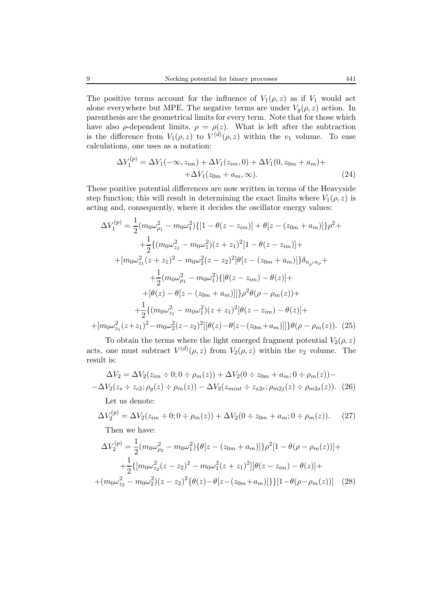The positive terms account for the influence of  $V_1(\rho, z)$  as if  $V_1$  would act alone everywhere but MPE. The negative terms are under  $V_g(\rho, z)$  action. In parenthesis are the geometrical limits for every term. Note that for those which have also  $\rho$ -dependent limits,  $\rho = \rho(z)$ . What is left after the subtraction is the difference from  $V_1(\rho, z)$  to  $V^{(d)}(\rho, z)$  within the  $v_1$  volume. To ease calculations, one uses as a notation:

$$
\Delta V_1^{(p)} = \Delta V_1(-\infty, z_{im}) + \Delta V_1(z_{im}, 0) + \Delta V_1(0, z_{0m} + a_m) + + \Delta V_1(z_{0m} + a_m, \infty).
$$
\n(24)

These pozitive potential differences are now written in terms of the Heavyside step function; this will result in determining the exact limits where  $V_1(\rho, z)$  is acting and, consequently, where it decides the oscillator energy values:

$$
\Delta V_1^{(p)} = \frac{1}{2} (m_0 \omega_{\rho_1}^2 - m_0 \omega_1^2) \{ [1 - \theta(z - z_{im})] + \theta[z - (z_{0m} + a_m)] \} \rho^2 +
$$
  
+ 
$$
\frac{1}{2} \{ (m_0 \omega_{z_1}^2 - m_0 \omega_1^2)(z + z_1)^2 [1 - \theta(z - z_{im})] +
$$
  
+ 
$$
[m_0 \omega_{z_1}^2 (z + z_1)^2 - m_0 \omega_2^2 (z - z_2)^2] \theta[z - (z_{0m} + a_m)] \} \delta_{n_{\rho'} n_{\rho}} +
$$
  
+ 
$$
\frac{1}{2} (m_0 \omega_{\rho_1}^2 - m_0 \omega_1^2) \{ [\theta(z - z_{im}) - \theta(z)] +
$$
  
+ 
$$
[\theta(z) - \theta[z - (z_{0m} + a_m)]] \} \rho^2 \theta(\rho - \rho_m(z)) +
$$
  
+ 
$$
\frac{1}{2} \{ (m_0 \omega_{z_1}^2 - m_0 \omega_1^2)(z + z_1)^2 [\theta(z - z_{im}) - \theta(z)] +
$$
  
+ 
$$
[m_0 \omega_{z_1}^2 (z + z_1)^2 - m_0 \omega_2^2 (z - z_2)^2] [\theta(z) - \theta[z - (z_{0m} + a_m)]] \} \theta(\rho - \rho_m(z)).
$$
 (25)

To obtain the terms where the light emerged fragment potential  $V_2(\rho, z)$ acts, one must subtract  $V^{(d)}(\rho, z)$  from  $V_2(\rho, z)$  within the  $v_2$  volume. The result is:

$$
\Delta V_2 = \Delta V_2(z_{im} \div 0; 0 \div \rho_m(z)) + \Delta V_2(0 \div z_{0m} + a_m; 0 \div \rho_m(z)) -
$$
  
-
$$
\Delta V_2(z_s \div z_{c2}; \rho_g(z) \div \rho_m(z)) - \Delta V_2(z_{mint} \div z_{x2r}; \rho_{m2j}(z) \div \rho_{m2s}(z)). \tag{26}
$$

Let us denote:

$$
\Delta V_2^{(p)} = \Delta V_2(z_{im} \div 0; 0 \div \rho_m(z)) + \Delta V_2(0 \div z_{0m} + a_m; 0 \div \rho_m(z)).
$$
 (27)

Then we have:

$$
\Delta V_2^{(p)} = \frac{1}{2} (m_0 \omega_{\rho_2}^2 - m_0 \omega_1^2) \{ \theta [z - (z_{0m} + a_m)] \} \rho^2 [1 - \theta (\rho - \rho_m(z))] +
$$
  
+ 
$$
\frac{1}{2} \{ [m_0 \omega_{z_2}^2 (z - z_2)^2 - m_0 \omega_1^2 (z + z_1)^2] [\theta (z - z_{im}) - \theta(z)] +
$$
  
+ 
$$
(m_0 \omega_{z_2}^2 - m_0 \omega_2^2) (z - z_2)^2 \{ \theta(z) - \theta [z - (z_{0m} + a_m)] \} \} [1 - \theta (\rho - \rho_m(z))] \quad (28)
$$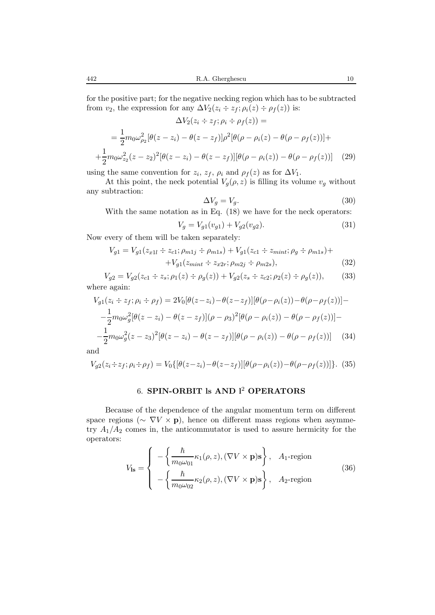for the positive part; for the negative necking region which has to be subtracted from  $v_2$ , the expression for any  $\Delta V_2(z_i \div z_f; \rho_i(z) \div \rho_f(z))$  is:

$$
\Delta V_2(z_i \div z_f; \rho_i \div \rho_f(z)) =
$$
  
=  $\frac{1}{2} m_0 \omega_{\rho_2}^2 [\theta(z - z_i) - \theta(z - z_f)] \rho^2 [\theta(\rho - \rho_i(z) - \theta(\rho - \rho_f(z)))] +$   
+  $\frac{1}{2} m_0 \omega_{z_2}^2 (z - z_2)^2 [\theta(z - z_i) - \theta(z - z_f)][\theta(\rho - \rho_i(z)) - \theta(\rho - \rho_f(z))]$  (29)

using the same convention for  $z_i$ ,  $z_f$ ,  $\rho_i$  and  $\rho_f(z)$  as for  $\Delta V_1$ .

At this point, the neck potential  $V_q(\rho, z)$  is filling its volume  $v_q$  without any subtraction:

$$
\Delta V_g = V_g. \tag{30}
$$

With the same notation as in Eq.  $(18)$  we have for the neck operators:

$$
V_g = V_{g1}(v_{g1}) + V_{g2}(v_{g2}).
$$
\n(31)

Now every of them will be taken separately:

$$
V_{g1} = V_{g1}(z_{x1l} \div z_{c1}; \rho_{m1j} \div \rho_{m1s}) + V_{g1}(z_{c1} \div z_{mint}; \rho_g \div \rho_{m1s}) +
$$
  
+
$$
V_{g1}(z_{mint} \div z_{x2r}; \rho_{m2j} \div \rho_{m2s}),
$$
 (32)

$$
V_{g2} = V_{g2}(z_{c1} \div z_s; \rho_1(z) \div \rho_g(z)) + V_{g2}(z_s \div z_{c2}; \rho_2(z) \div \rho_g(z)),
$$
 (33)  
where again:

where again:  

$$
V_{a1}(z_i \div z_f; \rho_i \div \rho_f) =
$$

$$
V_{g1}(z_i \div z_f; \rho_i \div \rho_f) = 2V_0[\theta(z - z_i) - \theta(z - z_f)][\theta(\rho - \rho_i(z)) - \theta(\rho - \rho_f(z))] -
$$
  

$$
-\frac{1}{2}m_0\omega_g^2[\theta(z - z_i) - \theta(z - z_f)](\rho - \rho_3)^2[\theta(\rho - \rho_i(z)) - \theta(\rho - \rho_f(z))] -
$$
  

$$
-\frac{1}{2}m_0\omega_g^2(z - z_3)^2[\theta(z - z_i) - \theta(z - z_f)][\theta(\rho - \rho_i(z)) - \theta(\rho - \rho_f(z))]
$$
(34)

and

$$
V_{g2}(z_i \div z_f; \rho_i \div \rho_f) = V_0\{[\theta(z-z_i) - \theta(z-z_f)][\theta(\rho-\rho_i(z)) - \theta(\rho-\rho_f(z))]\}.
$$
 (35)

# 6. **SPIN-ORBIT ls AND l**<sup>2</sup> **OPERATORS**

Because of the dependence of the angular momentum term on different space regions ( $\sim \nabla V \times \mathbf{p}$ ), hence on different mass regions when asymmetry  $A_1/A_2$  comes in, the anticommutator is used to assure hermicity for the operators:

$$
V_{\mathbf{ls}} = \begin{cases} -\left\{ \frac{\hbar}{m_0 \omega_{01}} \kappa_1(\rho, z), (\nabla V \times \mathbf{p}) \mathbf{s} \right\}, & A_1 \text{-region} \\ -\left\{ \frac{\hbar}{m_0 \omega_{02}} \kappa_2(\rho, z), (\nabla V \times \mathbf{p}) \mathbf{s} \right\}, & A_2 \text{-region} \end{cases}
$$
(36)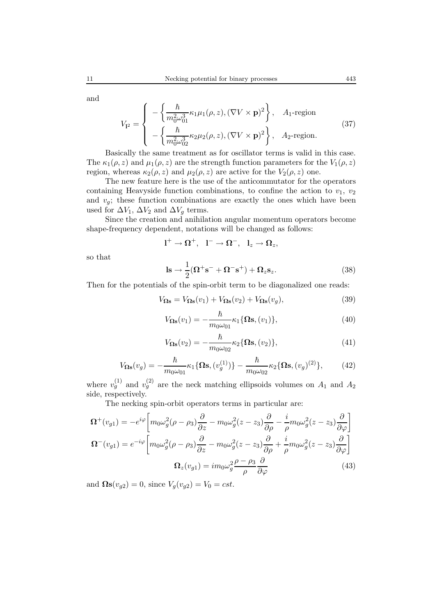$$
V_{12} = \begin{cases} -\left\{ \frac{\hbar}{m_0^2 \omega_{01}^3} \kappa_1 \mu_1(\rho, z), (\nabla V \times \mathbf{p})^2 \right\}, & A_1 \text{-region} \\ -\left\{ \frac{\hbar}{m_0^2 \omega_{02}^3} \kappa_2 \mu_2(\rho, z), (\nabla V \times \mathbf{p})^2 \right\}, & A_2 \text{-region.} \end{cases}
$$
(37)

Basically the same treatment as for oscillator terms is valid in this case. The  $\kappa_1(\rho, z)$  and  $\mu_1(\rho, z)$  are the strength function parameters for the  $V_1(\rho, z)$ region, whereas  $\kappa_2(\rho, z)$  and  $\mu_2(\rho, z)$  are active for the  $V_2(\rho, z)$  one.

The new feature here is the use of the anticommutator for the operators containing Heavyside function combinations, to confine the action to  $v_1, v_2$ and  $v_g$ ; these function combinations are exactly the ones which have been used for  $\Delta V_1$ ,  $\Delta V_2$  and  $\Delta V_q$  terms.

Since the creation and anihilation angular momentum operators become shape-frequency dependent, notations will be changed as follows:

$$
l^+\to \Omega^+,\ \ l^-\to \Omega^-,\ \ l_z\to \Omega_z,
$$

so that

$$
\mathbf{ls} \rightarrow \frac{1}{2}(\mathbf{\Omega}^+\mathbf{s}^- + \mathbf{\Omega}^-\mathbf{s}^+) + \mathbf{\Omega}_z \mathbf{s}_z. \tag{38}
$$

Then for the potentials of the spin-orbit term to be diagonalized one reads:

$$
V_{\Omega \mathbf{s}} = V_{\Omega \mathbf{s}}(v_1) + V_{\Omega \mathbf{s}}(v_2) + V_{\Omega \mathbf{s}}(v_g), \tag{39}
$$

$$
V_{\mathbf{\Omega}\mathbf{s}}(v_1) = -\frac{\hbar}{m_0\omega_{01}} \kappa_1 \{\mathbf{\Omega}\mathbf{s}, (v_1)\},\tag{40}
$$

$$
V_{\Omega \mathbf{s}}(v_2) = -\frac{\hbar}{m_0 \omega_{02}} \kappa_2 \{\Omega \mathbf{s}, (v_2)\},\tag{41}
$$

$$
V_{\Omega_{\mathbf{S}}}(v_g) = -\frac{\hbar}{m_0 \omega_{01}} \kappa_1 \{ \Omega \mathbf{s}, (v_g^{(1)}) \} - \frac{\hbar}{m_0 \omega_{02}} \kappa_2 \{ \Omega \mathbf{s}, (v_g)^{(2)} \},\tag{42}
$$

where  $v_g^{(1)}$  and  $v_g^{(2)}$  are the neck matching ellipsoids volumes on  $A_1$  and  $A_2$ side, respectively.

The necking spin-orbit operators terms in particular are:

$$
\Omega^{+}(v_{g1}) = -e^{i\varphi} \left[ m_{0}\omega_{g}^{2}(\rho - \rho_{3}) \frac{\partial}{\partial z} - m_{0}\omega_{g}^{2}(z - z_{3}) \frac{\partial}{\partial \rho} - \frac{i}{\rho} m_{0}\omega_{g}^{2}(z - z_{3}) \frac{\partial}{\partial \varphi} \right]
$$

$$
\Omega^{-}(v_{g1}) = e^{-i\varphi} \left[ m_{0}\omega_{g}^{2}(\rho - \rho_{3}) \frac{\partial}{\partial z} - m_{0}\omega_{g}^{2}(z - z_{3}) \frac{\partial}{\partial \rho} + \frac{i}{\rho} m_{0}\omega_{g}^{2}(z - z_{3}) \frac{\partial}{\partial \varphi} \right]
$$

$$
\Omega_{z}(v_{g1}) = im_{0}\omega_{g}^{2} \frac{\rho - \rho_{3}}{\rho} \frac{\partial}{\partial \varphi}
$$
(43)

and  $\Omega$ s $(v_{q2}) = 0$ , since  $V_q(v_{q2}) = V_0 = cst$ .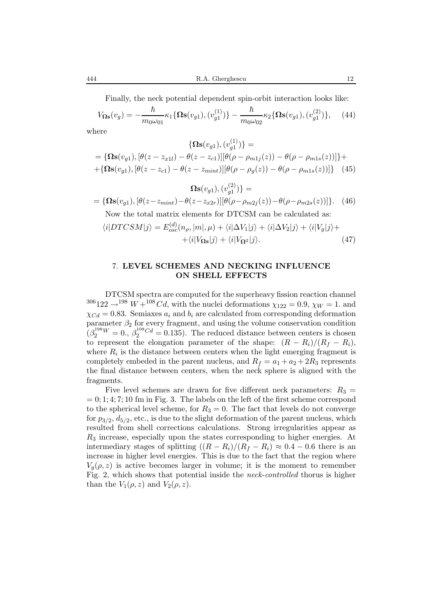Finally, the neck potential dependent spin-orbit interaction looks like:

$$
V_{\Omega \mathbf{s}}(v_g) = -\frac{\hbar}{m_0 \omega_{01}} \kappa_1 \{ \Omega \mathbf{s}(v_{g1}), (v_{g1}^{(1)}) \} - \frac{\hbar}{m_0 \omega_{02}} \kappa_2 \{ \Omega \mathbf{s}(v_{g1}), (v_{g1}^{(2)}) \}, \quad (44)
$$

where

$$
\{\mathbf\Omega \mathbf{s}(v_{g1}), (v_{g1}^{(1)})\} = \n= \{\mathbf\Omega \mathbf{s}(v_{g1}), [\theta(z - z_{x1l}) - \theta(z - z_{c1})][\theta(\rho - \rho_{m1j}(z)) - \theta(\rho - \rho_{m1s}(z))]\} + \n+ \{\mathbf\Omega \mathbf{s}(v_{g1}), [\theta(z - z_{c1}) - \theta(z - z_{mint})][\theta(\rho - \rho_g(z)) - \theta(\rho - \rho_{m1s}(z))]\} \quad (45)
$$

$$
\mathbf{\Omega s}(v_{g1}), (v_{g1}^{(2)}) =
$$
  
= { $\mathbf{\Omega s}(v_{g1}), [\theta(z - z_{mint}) - \theta(z - z_{x2r})][\theta(\rho - \rho_{m2j}(z)) - \theta(\rho - \rho_{m2s}(z))]$  }. (46)  
Now the total matrix elements for DTCSM can be calculated as:

$$
\langle i|DTCSM|j\rangle = E_{osc}^{(d)}(n_{\rho},|m|,\mu) + \langle i|\Delta V_1|j\rangle + \langle i|\Delta V_2|j\rangle + \langle i|V_g|j\rangle + + \langle i|V_{\Omega_{\mathbf{S}}}|j\rangle + \langle i|V_{\Omega_{\mathbf{S}}}|j\rangle.
$$
\n(47)

### 7. **LEVEL SCHEMES AND NECKING INFLUENCE ON SHELL EFFECTS**

DTCSM spectra are computed for the superheavy fission reaction channel  $306122 \rightarrow 198 W + 108 Cd$ , with the nuclei deformations  $\chi_{122} = 0.9$ ,  $\chi_W = 1$ . and  $\chi_{Cd} = 0.83$ . Semiaxes  $a_i$  and  $b_i$  are calculated from corresponding deformation parameter  $\beta_2$  for every fragment, and using the volume conservation condition  $(\beta_2^{198}W = 0., \beta_2^{108}C_d = 0.135)$ . The reduced distance between centers is chosen to represent the elongation parameter of the shape:  $(R - R_i)/(R_f - R_i)$ , where  $R_i$  is the distance between centers when the light emerging fragment is completely embeded in the parent nucleus, and  $R_f = a_1 + a_2 + 2R_3$  represents the final distance between centers, when the neck sphere is aligned with the fragments.

Five level schemes are drawn for five different neck parameters:  $R_3 =$  $= 0; 1; 4; 7; 10$  fm in Fig. 3. The labels on the left of the first scheme correspond to the spherical level scheme, for  $R_3 = 0$ . The fact that levels do not converge for  $p_{3/2}$ ,  $d_{5/2}$ , etc., is due to the slight deformation of the parent nucleus, which resulted from shell corrections calculations. Strong irregularities appear as  $R<sub>3</sub>$  increase, especially upon the states corresponding to higher energies. At intermediary stages of splitting  $((R - R_i)/(R_f - R_i) \approx 0.4 - 0.6$  there is an increase in higher level energies. This is due to the fact that the region where  $V_q(\rho, z)$  is active becomes larger in volume; it is the moment to remember Fig. 2, which shows that potential inside the *neck-controlled* thorus is higher than the  $V_1(\rho, z)$  and  $V_2(\rho, z)$ .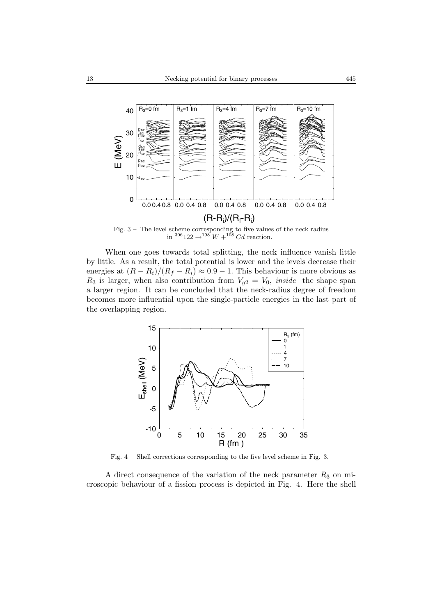

Fig. 3 – The level scheme corresponding to five values of the neck radius in  $^{306}122 \rightarrow ^{198}W + ^{108}Cd$  reaction.

When one goes towards total splitting, the neck influence vanish little by little. As a result, the total potential is lower and the levels decrease their energies at  $(R - R_i)/(R_f - R_i) \approx 0.9 - 1$ . This behaviour is more obvious as  $R_3$  is larger, when also contribution from  $V_{g2} = V_0$ , *inside* the shape span a larger region. It can be concluded that the neck-radius degree of freedom becomes more influential upon the single-particle energies in the last part of the overlapping region.



Fig. 4 – Shell corrections corresponding to the five level scheme in Fig. 3.

A direct consequence of the variation of the neck parameter  $R_3$  on microscopic behaviour of a fission process is depicted in Fig. 4. Here the shell